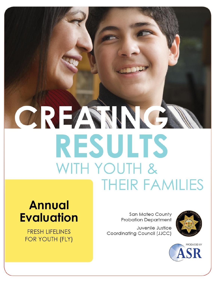# CREAMNE **RESULTS** WITH YOUTH & **THEIR FAMILIES**

## **Annual Evaluation**

**FRESH LIFELINES** FOR YOUTH (FLY)

San Mateo County **Probation Department** 

Juvenile Justice Coordinating Council (JJCC)



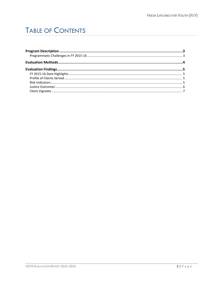## **TABLE OF CONTENTS**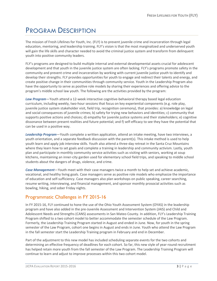## <span id="page-2-0"></span>PROGRAM DESCRIPTION

The mission of Fresh Lifelines for Youth, Inc. (FLY) is to prevent juvenile crime and incarceration through legal education, mentoring, and leadership training. FLY's vision is that the most marginalized and underserved youth will gain the life skills and character needed to avoid the criminal justice system and transform from delinquent youth into positive community leaders.

FLY's programs are designed to build multiple internal and external developmental assets crucial for adolescent development and that youth in the juvenile justice system are often lacking. FLY's programs promote safety in the community and prevent crime and incarceration by working with current juvenile justice youth to identify and develop their strengths. FLY provides opportunities for youth to engage and redirect their talents and energy, and create positive change in their communities through community service. Youth in the Leadership Program also have the opportunity to serve as positive role models by sharing their experiences and offering advice to the program's middle school law youth. The following are the activities provided by the program:

*Law Program*—Youth attend a 12-week interactive cognitive-behavioral therapy based legal education curriculum, including weekly, two-hour sessions that focus on key experiential components (e.g. role play, juvenile justice system stakeholder visit, field trip, recognition ceremony), that provides: a) knowledge on legal and social consequences of juvenile crimes; b) safety for trying new behaviors and identities; c) community that supports positive actions and choices; d) empathy for juvenile justice systems and their stakeholders; e) cognitive dissonance between present realities and future potential; and f) self-efficacy to see they have the potential that can be used in a positive way.

*Leadership Program*—Youth complete a written application, attend an intake meeting, have two interviews, a youth orientation, and a separate feedback discussion with the parent(s). This intake method is used to help youth learn and apply job interview skills. Youth also attend a three-day retreat in the Santa Cruz Mountains where they learn how to set goals and complete a training in leadership and community activism. Lastly, youth plan and participate in monthly community service activities such as visiting with seniors, working at soup kitchens, maintaining an inner-city garden used for elementary school field trips, and speaking to middle school students about the dangers of drugs, violence, and crime.

*Case Management*—Youth meet with their case managers twice a month to help set and achieve academic, vocational, and healthy living goals. Case managers serve as positive role models who emphasize the importance of education and self-sufficiency. Case managers also plan workshops on public speaking, career searching, resume writing, interviewing, and financial management, and sponsor monthly prosocial activities such as bowling, hiking, and sober Friday nights.

#### <span id="page-2-1"></span>Programmatic Challenges in FY 2015-16

In FY 2015-16, FLY continued to hone the use of the Ohio Youth Assessment System (OYAS) in the leadership program and have also added in the pre-Juvenile Assessment and Intervention System (JAIS) and Child and Adolescent Needs and Strengths (CANS) assessments in San Mateo County. In addition, FLY's Leadership Training Program shifted to a two cohort model to better accommodate the semester schedule of the Law Program. Formerly, the Leadership Training Program started in August and ended in June. Now, for youth in the spring semester of the Law Program, cohort one begins in August and ends in June. Youth who attend the Law Program in the fall semester start the Leadership Training program in February and end in December.

Part of the adjustment to this new model has included scheduling separate events for the two cohorts and determining an effective frequency of deadlines for each cohort. So far, this new style of year-round recruitment has helped retain more youth from the fall semester of the Law Program. The Leadership Training Program will continue to learn and adjust to improve processes within this two cohort model.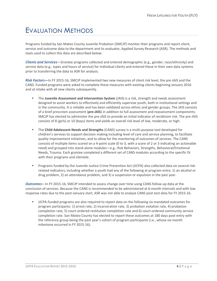### <span id="page-3-0"></span>EVALUATION METHODS

Programs funded by San Mateo County Juvenile Probation (SMCJP) monitor their programs and report client, service and outcome data to the department and its evaluator, Applied Survey Research (ASR). The methods and tools used to collect this data are described below:

*Clients and Services*—Grantee programs collected and entered demographic (e.g., gender, race/ethnicity) and service data (e.g., types and hours of service) for individual clients and entered these in their own data systems prior to transferring the data to ASR for analysis.

*Risk Factors***—**In FY 2015-16, SMCJP implemented two new measures of client risk level, the pre-JAIS and the CANS. Funded programs were asked to complete these measures with existing clients beginning January 2016 and at intake with all new clients subsequently.

- The **Juvenile Assessment and Intervention System** (JAIS) is a risk, strength and needs assessment designed to assist workers to effectively and efficiently supervise youth, both in institutional settings and in the community. It is reliable and has been validated across ethnic and gender groups. The JAIS consists of a brief prescreen assessment (**pre-JAIS**) in addition to full assessment and reassessment components; SMCJP has elected to administer the pre-JAIS to provide an initial indicator of recidivism risk. The pre-JAIS consists of 8 (girls) or 10 (boys) items and yields an overall risk level of low, moderate, or high.
- The **Child Adolescent Needs and Strengths** (CANS) survey is a multi-purpose tool developed for children's services to support decision making including level of care and service planning, to facilitate quality improvement initiatives, and to allow for the monitoring of outcomes of services. The CANS consists of multiple items scored on a 4-point scale (0 to 3, with a score of 2 or 3 indicating an actionable need) and grouped into stand-alone modules—e.g., Risk Behaviors, Strengths, Behavioral/Emotional Needs, Trauma. Each grantee completed a different set of CANS modules according to the specific fit with their programs and clientele.
- Programs funded by the Juvenile Justice Crime Prevention Act (JJCPA) also collected data on several riskrelated indicators, including whether a youth had any of the following at program entry: 1) an alcohol or drug problem, 2) an attendance problem, and 3) a suspension or expulsion in the past year.

*Outcomes*—In FY 2015-16, SMCJP intended to assess change over time using CANS follow-up data at the conclusion of services. Because the CANS is recommended to be administered at 6-month intervals and with low response rates due to the post-January start, ASR was not able to analyze CANS post-test data for FY 2015-16.

 JJCPA-funded programs are also required to report data on the following six mandated outcomes for program participants: 1) arrest rate, 2) incarceration rate, 3) probation violation rate, 4) probation completion rate, 5) court-ordered restitution completion rate and 6) court-ordered community service completion rate. San Mateo County has elected to report these outcomes at 180 days post-entry with the reference group being the past year's cohort of program participants (i.e., whose six-month milestone occurred in FY 2015-16).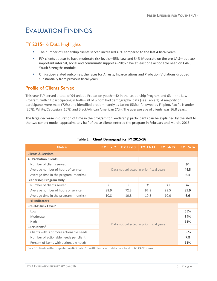## <span id="page-4-0"></span>EVALUATION FINDINGS

#### <span id="page-4-1"></span>FY 2015-16 Data Highlights

- The number of Leadership clients served increased 40% compared to the last 4 fiscal years
- FLY clients appear to have moderate risk levels—55% Low and 34% Moderate on the pre-JAIS—but lack important internal, social and community supports—98% have at least one actionable need on CANS Youth Strengths module
- On justice-related outcomes, the rates for Arrests, Incarcerations and Probation Violations dropped substantially from previous fiscal years

#### <span id="page-4-2"></span>Profile of Clients Served

This year FLY served a total of 94 unique Probation youth—42 in the Leadership Program and 63 in the Law Program, with 11 participating in both—all of whom had demographic data (see Table 1). A majority of participants were male (72%) and identified predominantly as Latino (53%), followed by Filipino/Pacific Islander (26%), White/Caucasian (10%) and Black/African American (7%). The average age of clients was 16.8 years.

The large decrease in duration of time in the program for Leadership participants can be explained by the shift to the two cohort model; approximately half of these clients entered the program in February and March, 2016.

<span id="page-4-3"></span>

| <b>Metric</b>                                                                                             | <b>FY 11-12</b>                                                                    | <b>FY 12-13</b> | <b>FY 13-14</b> | <b>FY 14-15</b> | <b>FY 15-16</b> |
|-----------------------------------------------------------------------------------------------------------|------------------------------------------------------------------------------------|-----------------|-----------------|-----------------|-----------------|
| <b>Clients &amp; Services</b>                                                                             |                                                                                    |                 |                 |                 |                 |
| <b>All Probation Clients</b>                                                                              |                                                                                    |                 |                 |                 |                 |
| Number of clients served                                                                                  | Data not collected in prior fiscal years                                           |                 |                 |                 | 94              |
| Average number of hours of service                                                                        |                                                                                    |                 |                 | 44.5            |                 |
| Average time in the program (months)                                                                      |                                                                                    |                 |                 | 6.4             |                 |
| <b>Leadership Program Only</b>                                                                            |                                                                                    |                 |                 |                 |                 |
| Number of clients served                                                                                  | 30                                                                                 | 30              | 31              | 30              | 42              |
| Average number of hours of service                                                                        | 88.9                                                                               | 72.3            | 97.8            | 98.5            | 85.9            |
| Average time in the program (months)                                                                      | 10.8                                                                               | 10.8            | 10.8            | 10.0            | 6.6             |
| <b>Risk Indicators</b>                                                                                    |                                                                                    |                 |                 |                 |                 |
| Pre-JAIS Risk Level <sup>a</sup>                                                                          | 55%<br>34%<br>11%<br>Data not collected in prior fiscal years<br>88%<br>7.8<br>11% |                 |                 |                 |                 |
| Low                                                                                                       |                                                                                    |                 |                 |                 |                 |
| Moderate                                                                                                  |                                                                                    |                 |                 |                 |                 |
| <b>High</b>                                                                                               |                                                                                    |                 |                 |                 |                 |
| CANS Items <sup>b</sup>                                                                                   |                                                                                    |                 |                 |                 |                 |
| Clients with 3 or more actionable needs                                                                   |                                                                                    |                 |                 |                 |                 |
| Number of actionable needs per client                                                                     |                                                                                    |                 |                 |                 |                 |
| Percent of items with actionable needs                                                                    |                                                                                    |                 |                 |                 |                 |
| $a$ n = 38 clients with complete pre-JAIS data. $b$ n = 40 clients with data on a total of 69 CANS items. |                                                                                    |                 |                 |                 |                 |

#### Table 1. **Client Demographics, FY 2015-16**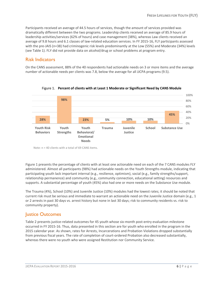Participants received an average of 44.5 hours of services, though the amount of services provided was dramatically different between the two programs. Leadership clients received an average of 85.9 hours of leadership activities/services (62% of hours) and case management (38%), whereas Law clients received an average of 9.8 hours and 6.1 classes of law-related education services. In FY 2015-16, FLY participants assessed with the pre-JAIS (n=38) had criminogenic risk levels predominantly at the Low (55%) and Moderate (34%) levels (see Table 1). FLY did not provide data on alcohol/drug or school problems at program entry.

#### Risk Indicators

On the CANS assessment, 88% of the 40 respondents had actionable needs on 3 or more items and the average number of actionable needs per clients was 7.8, below the average for all JJCPA programs (9.5).



Figure 1. **Percent of clients with at Least 1 Moderate or Significant Need by CANS Module**

Note: n = 40 clients with a total of 69 CANS items.

Figure 1 presents the percentage of clients with at least one actionable need on each of the 7 CANS modules FLY administered. Almost all participants (98%) had actionable needs on the Youth Strengths module, indicating that participating youth lack important internal (e.g., resilience, optimism), social (e.g., family strengths/support, relationship permanence) and community (e.g., community connection, educational setting) resources and supports. A substantial percentage of youth (45%) also had one or more needs on the Substance Use module.

The Trauma (4%), School (10%) and Juvenile Justice (10%) modules had the lowest rates; it should be noted that current risk must be serious and immediate to warrant an actionable need on the Juvenile Justice domain (e.g., 1 or 2 arrests in past 30 days vs. arrest history but none in last 30 days; risk to community residents vs. risk to community property).

#### <span id="page-5-0"></span>Justice Outcomes

Table 2 presents justice-related outcomes for 45 youth whose six-month post-entry evaluation milestone occurred in FY 2015-16. Thus, data presented in this section are for youth who enrolled in the program in the 2015 calendar year. As shown, rates for Arrests, Incarcerations and Probation Violations dropped substantially from previous fiscal years. The rate of completion of court-ordered Probation also decreased substantially, whereas there were no youth who were assigned Restitution nor Community Service.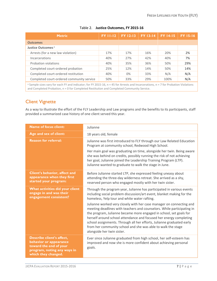| <b>Metric</b>                             | <b>FY 11-12</b> | <b>FY 12-13</b> | <b>FY 13-14</b> | <b>FY 14-15</b> | <b>FY 15-16</b> |
|-------------------------------------------|-----------------|-----------------|-----------------|-----------------|-----------------|
| <b>Outcomes</b>                           |                 |                 |                 |                 |                 |
| Justice Outcomes <sup>a</sup>             |                 |                 |                 |                 |                 |
| Arrests (for a new law violation)         | 17%             | 17%             | 16%             | 20%             | 2%              |
| Incarcerations                            | 40%             | 27%             | 42%             | 40%             | 7%              |
| Probation violations                      | 40%             | 35%             | 36%             | 50%             | 29%             |
| Completed court-ordered probation         | 25%             | 12%             | 14%             | 50%             | 14%             |
| Completed court-ordered restitution       | 40%             | $0\%$           | 33%             | N/A             | N/A             |
| Completed court-ordered community service | 50%             | 33%             | 29%             | 100%            | N/A             |
| $\sim$ $\sim$ $\sim$<br>$\sim$<br>.       |                 |                 |                 |                 |                 |

#### Table 2. **Justice Outcomes, FY 2015-16**

<sup>a</sup> Sample sizes vary for each FY and indicator; for FY 2015-16, n = 45 for Arrests and Incarcerations, n = 7 for Probation Violations and Completed Probation, n = 0 for Completed Restitution and Completed Community Service.

#### <span id="page-6-0"></span>Client Vignette

As a way to illustrate the effort of the FLY Leadership and Law programs and the benefits to its participants, staff provided a summarized case history of one client served this year.

| <b>Name of focus client:</b>                                                                                                        | Julianne                                                                                                                                                                                                                                                                                                                                                                                                                                                                                                                                                                                                                                                            |
|-------------------------------------------------------------------------------------------------------------------------------------|---------------------------------------------------------------------------------------------------------------------------------------------------------------------------------------------------------------------------------------------------------------------------------------------------------------------------------------------------------------------------------------------------------------------------------------------------------------------------------------------------------------------------------------------------------------------------------------------------------------------------------------------------------------------|
| Age and sex of client:                                                                                                              | 18 years old, female                                                                                                                                                                                                                                                                                                                                                                                                                                                                                                                                                                                                                                                |
| <b>Reason for referral:</b>                                                                                                         | Julianne was first introduced to FLY through our Law Related Education<br>Program at community school, Redwood High School.<br>Her main goal was graduating on time, alongside her twin. Being aware<br>she was behind on credits, possibly running the risk of not achieving<br>her goal, Julianne joined the Leadership Training Program (LTP).<br>Julianne wanted to graduate to walk the stage in June.                                                                                                                                                                                                                                                         |
| Client's behavior, affect and<br>appearance when they first<br>started your program:                                                | Before Julianne started LTP, she expressed feeling uneasy about<br>attending the three-day wilderness retreat. She arrived as a shy,<br>reserved person who engaged mostly with her twin sister.                                                                                                                                                                                                                                                                                                                                                                                                                                                                    |
| What activities did your client<br>engage in and was their<br>engagement consistent?                                                | Through the program year, Julianne has participated in various events<br>including social problem discussion/art event, blanket making for the<br>homeless, Yelp tour and white water rafting.<br>Julianne worked very closely with her case manager on connecting and<br>meeting deadlines with teachers and counselors. While participating in<br>the program, Julianne became more engaged in school, set goals for<br>herself around school attendance and focused her energy completing<br>school assignments. Through all her efforts, Julianne graduated early<br>from her community school and she was able to walk the stage<br>alongside her twin sister. |
| Describe client's affect,<br>behavior or appearance<br>toward the end of your<br>program, noting any ways in<br>which they changed. | Ever since Julianne graduated from high school, her self-esteem has<br>improved and now she is more confident about achieving personal<br>goals.                                                                                                                                                                                                                                                                                                                                                                                                                                                                                                                    |